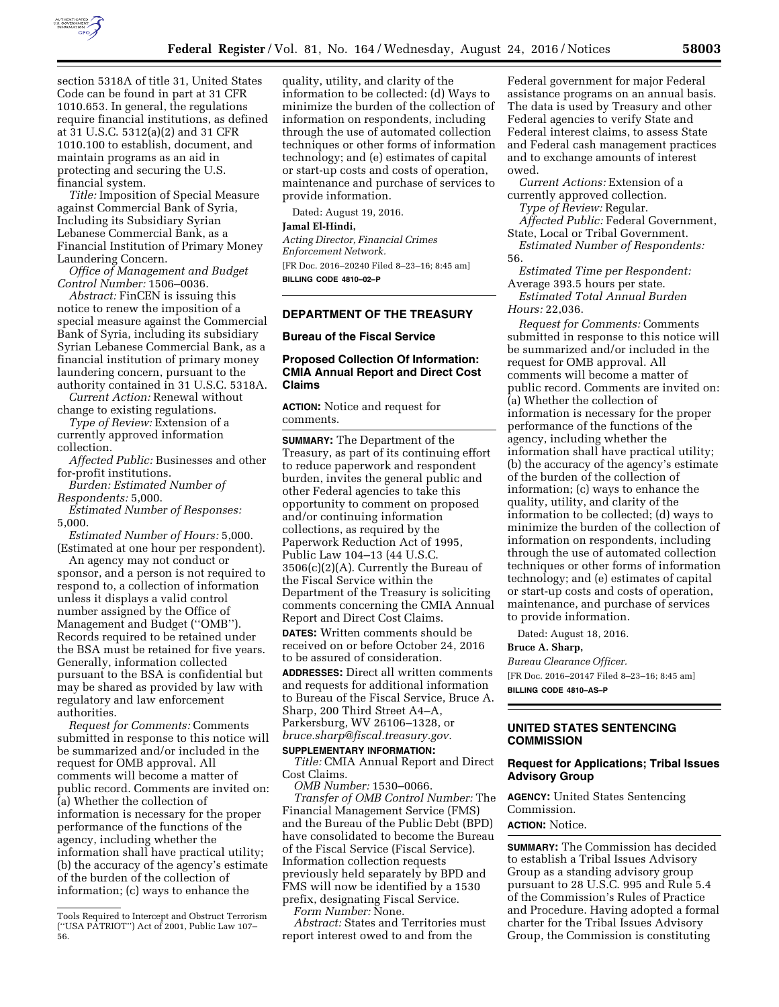

section 5318A of title 31, United States Code can be found in part at 31 CFR 1010.653. In general, the regulations require financial institutions, as defined at 31 U.S.C. 5312(a)(2) and 31 CFR 1010.100 to establish, document, and maintain programs as an aid in protecting and securing the U.S.

financial system. *Title:* Imposition of Special Measure against Commercial Bank of Syria, Including its Subsidiary Syrian Lebanese Commercial Bank, as a Financial Institution of Primary Money Laundering Concern.

*Office of Management and Budget Control Number:* 1506–0036.

*Abstract:* FinCEN is issuing this notice to renew the imposition of a special measure against the Commercial Bank of Syria, including its subsidiary Syrian Lebanese Commercial Bank, as a financial institution of primary money laundering concern, pursuant to the authority contained in 31 U.S.C. 5318A.

*Current Action:* Renewal without change to existing regulations.

*Type of Review:* Extension of a currently approved information collection.

*Affected Public:* Businesses and other for-profit institutions.

*Burden: Estimated Number of Respondents:* 5,000.

*Estimated Number of Responses:*  5,000.

*Estimated Number of Hours:* 5,000. (Estimated at one hour per respondent).

An agency may not conduct or sponsor, and a person is not required to respond to, a collection of information unless it displays a valid control number assigned by the Office of Management and Budget (''OMB''). Records required to be retained under the BSA must be retained for five years. Generally, information collected pursuant to the BSA is confidential but may be shared as provided by law with regulatory and law enforcement authorities.

*Request for Comments:* Comments submitted in response to this notice will be summarized and/or included in the request for OMB approval. All comments will become a matter of public record. Comments are invited on: (a) Whether the collection of information is necessary for the proper performance of the functions of the agency, including whether the information shall have practical utility; (b) the accuracy of the agency's estimate of the burden of the collection of information; (c) ways to enhance the

quality, utility, and clarity of the information to be collected: (d) Ways to minimize the burden of the collection of information on respondents, including through the use of automated collection techniques or other forms of information technology; and (e) estimates of capital or start-up costs and costs of operation, maintenance and purchase of services to provide information.

Dated: August 19, 2016.

#### **Jamal El-Hindi,**

*Acting Director, Financial Crimes Enforcement Network.* 

[FR Doc. 2016–20240 Filed 8–23–16; 8:45 am] **BILLING CODE 4810–02–P** 

# **DEPARTMENT OF THE TREASURY**

# **Bureau of the Fiscal Service**

## **Proposed Collection Of Information: CMIA Annual Report and Direct Cost Claims**

**ACTION:** Notice and request for comments.

**SUMMARY:** The Department of the Treasury, as part of its continuing effort to reduce paperwork and respondent burden, invites the general public and other Federal agencies to take this opportunity to comment on proposed and/or continuing information collections, as required by the Paperwork Reduction Act of 1995, Public Law 104–13 (44 U.S.C. 3506(c)(2)(A). Currently the Bureau of the Fiscal Service within the Department of the Treasury is soliciting comments concerning the CMIA Annual Report and Direct Cost Claims. **DATES:** Written comments should be received on or before October 24, 2016 to be assured of consideration. **ADDRESSES:** Direct all written comments and requests for additional information to Bureau of the Fiscal Service, Bruce A. Sharp, 200 Third Street A4–A, Parkersburg, WV 26106–1328, or *[bruce.sharp@fiscal.treasury.gov.](mailto:bruce.sharp@fiscal.treasury.gov)* 

## **SUPPLEMENTARY INFORMATION:**

*Title:* CMIA Annual Report and Direct Cost Claims.

*OMB Number:* 1530–0066.

*Transfer of OMB Control Number:* The Financial Management Service (FMS) and the Bureau of the Public Debt (BPD) have consolidated to become the Bureau of the Fiscal Service (Fiscal Service). Information collection requests previously held separately by BPD and FMS will now be identified by a 1530 prefix, designating Fiscal Service.

*Form Number:* None. *Abstract:* States and Territories must report interest owed to and from the

Federal government for major Federal assistance programs on an annual basis. The data is used by Treasury and other Federal agencies to verify State and Federal interest claims, to assess State and Federal cash management practices and to exchange amounts of interest owed.

*Current Actions:* Extension of a currently approved collection.

*Type of Review:* Regular.

*Affected Public:* Federal Government, State, Local or Tribal Government.

*Estimated Number of Respondents:*  56.

*Estimated Time per Respondent:*  Average 393.5 hours per state. *Estimated Total Annual Burden Hours:* 22,036.

*Request for Comments:* Comments submitted in response to this notice will be summarized and/or included in the request for OMB approval. All comments will become a matter of public record. Comments are invited on: (a) Whether the collection of information is necessary for the proper performance of the functions of the agency, including whether the information shall have practical utility; (b) the accuracy of the agency's estimate of the burden of the collection of information; (c) ways to enhance the quality, utility, and clarity of the information to be collected; (d) ways to minimize the burden of the collection of information on respondents, including through the use of automated collection techniques or other forms of information technology; and (e) estimates of capital or start-up costs and costs of operation, maintenance, and purchase of services to provide information.

Dated: August 18, 2016.

# **Bruce A. Sharp,**

*Bureau Clearance Officer.*  [FR Doc. 2016–20147 Filed 8–23–16; 8:45 am] **BILLING CODE 4810–AS–P** 

# **UNITED STATES SENTENCING**

# **COMMISSION**

# **Request for Applications; Tribal Issues Advisory Group**

**AGENCY:** United States Sentencing Commission. **ACTION:** Notice.

**SUMMARY:** The Commission has decided to establish a Tribal Issues Advisory Group as a standing advisory group pursuant to 28 U.S.C. 995 and Rule 5.4 of the Commission's Rules of Practice and Procedure. Having adopted a formal charter for the Tribal Issues Advisory Group, the Commission is constituting

Tools Required to Intercept and Obstruct Terrorism (''USA PATRIOT'') Act of 2001, Public Law 107– 56.